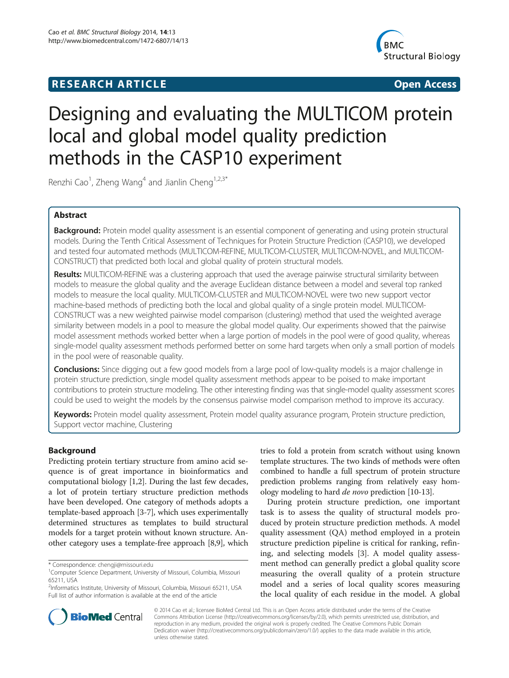## **RESEARCH ARTICLE Example 2018 12:00 Department of the CONNECTION CONNECTION CONNECTION CONNECTION**



# Designing and evaluating the MULTICOM protein local and global model quality prediction methods in the CASP10 experiment

Renzhi Cao<sup>1</sup>, Zheng Wang<sup>4</sup> and Jianlin Cheng<sup>1,2,3\*</sup>

## Abstract

Background: Protein model quality assessment is an essential component of generating and using protein structural models. During the Tenth Critical Assessment of Techniques for Protein Structure Prediction (CASP10), we developed and tested four automated methods (MULTICOM-REFINE, MULTICOM-CLUSTER, MULTICOM-NOVEL, and MULTICOM-CONSTRUCT) that predicted both local and global quality of protein structural models.

Results: MULTICOM-REFINE was a clustering approach that used the average pairwise structural similarity between models to measure the global quality and the average Euclidean distance between a model and several top ranked models to measure the local quality. MULTICOM-CLUSTER and MULTICOM-NOVEL were two new support vector machine-based methods of predicting both the local and global quality of a single protein model. MULTICOM-CONSTRUCT was a new weighted pairwise model comparison (clustering) method that used the weighted average similarity between models in a pool to measure the global model quality. Our experiments showed that the pairwise model assessment methods worked better when a large portion of models in the pool were of good quality, whereas single-model quality assessment methods performed better on some hard targets when only a small portion of models in the pool were of reasonable quality.

Conclusions: Since digging out a few good models from a large pool of low-quality models is a major challenge in protein structure prediction, single model quality assessment methods appear to be poised to make important contributions to protein structure modeling. The other interesting finding was that single-model quality assessment scores could be used to weight the models by the consensus pairwise model comparison method to improve its accuracy.

Keywords: Protein model quality assessment, Protein model quality assurance program, Protein structure prediction, Support vector machine, Clustering

## Background

Predicting protein tertiary structure from amino acid sequence is of great importance in bioinformatics and computational biology [\[1,2](#page-10-0)]. During the last few decades, a lot of protein tertiary structure prediction methods have been developed. One category of methods adopts a template-based approach [[3](#page-10-0)-[7\]](#page-10-0), which uses experimentally determined structures as templates to build structural models for a target protein without known structure. Another category uses a template-free approach [\[8,9](#page-10-0)], which

tries to fold a protein from scratch without using known template structures. The two kinds of methods were often combined to handle a full spectrum of protein structure prediction problems ranging from relatively easy homology modeling to hard de novo prediction [\[10-13\]](#page-10-0).

During protein structure prediction, one important task is to assess the quality of structural models produced by protein structure prediction methods. A model quality assessment (QA) method employed in a protein structure prediction pipeline is critical for ranking, refining, and selecting models [[3\]](#page-10-0). A model quality assessment method can generally predict a global quality score measuring the overall quality of a protein structure model and a series of local quality scores measuring the local quality of each residue in the model. A global



© 2014 Cao et al.; licensee BioMed Central Ltd. This is an Open Access article distributed under the terms of the Creative Commons Attribution License [\(http://creativecommons.org/licenses/by/2.0\)](http://creativecommons.org/licenses/by/2.0), which permits unrestricted use, distribution, and reproduction in any medium, provided the original work is properly credited. The Creative Commons Public Domain Dedication waiver [\(http://creativecommons.org/publicdomain/zero/1.0/](http://creativecommons.org/publicdomain/zero/1.0/)) applies to the data made available in this article, unless otherwise stated.

<sup>\*</sup> Correspondence: [chengji@missouri.edu](mailto:chengji@missouri.edu) <sup>1</sup>

<sup>&</sup>lt;sup>1</sup> Computer Science Department, University of Missouri, Columbia, Missouri 65211, USA

<sup>2</sup> Informatics Institute, University of Missouri, Columbia, Missouri 65211, USA Full list of author information is available at the end of the article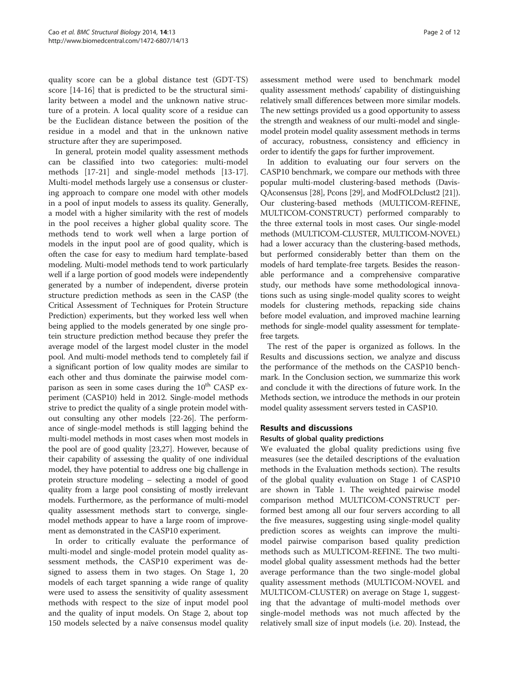quality score can be a global distance test (GDT-TS) score [[14-16\]](#page-10-0) that is predicted to be the structural similarity between a model and the unknown native structure of a protein. A local quality score of a residue can be the Euclidean distance between the position of the residue in a model and that in the unknown native structure after they are superimposed.

In general, protein model quality assessment methods can be classified into two categories: multi-model methods [[17](#page-10-0)[-21](#page-11-0)] and single-model methods [\[13-17](#page-10-0)]. Multi-model methods largely use a consensus or clustering approach to compare one model with other models in a pool of input models to assess its quality. Generally, a model with a higher similarity with the rest of models in the pool receives a higher global quality score. The methods tend to work well when a large portion of models in the input pool are of good quality, which is often the case for easy to medium hard template-based modeling. Multi-model methods tend to work particularly well if a large portion of good models were independently generated by a number of independent, diverse protein structure prediction methods as seen in the CASP (the Critical Assessment of Techniques for Protein Structure Prediction) experiments, but they worked less well when being applied to the models generated by one single protein structure prediction method because they prefer the average model of the largest model cluster in the model pool. And multi-model methods tend to completely fail if a significant portion of low quality modes are similar to each other and thus dominate the pairwise model comparison as seen in some cases during the  $10<sup>th</sup>$  CASP experiment (CASP10) held in 2012. Single-model methods strive to predict the quality of a single protein model without consulting any other models [\[22](#page-11-0)-[26](#page-11-0)]. The performance of single-model methods is still lagging behind the multi-model methods in most cases when most models in the pool are of good quality [\[23,27\]](#page-11-0). However, because of their capability of assessing the quality of one individual model, they have potential to address one big challenge in protein structure modeling – selecting a model of good quality from a large pool consisting of mostly irrelevant models. Furthermore, as the performance of multi-model quality assessment methods start to converge, singlemodel methods appear to have a large room of improvement as demonstrated in the CASP10 experiment.

In order to critically evaluate the performance of multi-model and single-model protein model quality assessment methods, the CASP10 experiment was designed to assess them in two stages. On Stage 1, 20 models of each target spanning a wide range of quality were used to assess the sensitivity of quality assessment methods with respect to the size of input model pool and the quality of input models. On Stage 2, about top 150 models selected by a naïve consensus model quality assessment method were used to benchmark model quality assessment methods' capability of distinguishing relatively small differences between more similar models. The new settings provided us a good opportunity to assess the strength and weakness of our multi-model and singlemodel protein model quality assessment methods in terms of accuracy, robustness, consistency and efficiency in order to identify the gaps for further improvement.

In addition to evaluating our four servers on the CASP10 benchmark, we compare our methods with three popular multi-model clustering-based methods (Davis-QAconsensus [\[28](#page-11-0)], Pcons [\[29\]](#page-11-0), and ModFOLDclust2 [[21](#page-11-0)]). Our clustering-based methods (MULTICOM-REFINE, MULTICOM-CONSTRUCT) performed comparably to the three external tools in most cases. Our single-model methods (MULTICOM-CLUSTER, MULTICOM-NOVEL) had a lower accuracy than the clustering-based methods, but performed considerably better than them on the models of hard template-free targets. Besides the reasonable performance and a comprehensive comparative study, our methods have some methodological innovations such as using single-model quality scores to weight models for clustering methods, repacking side chains before model evaluation, and improved machine learning methods for single-model quality assessment for templatefree targets.

The rest of the paper is organized as follows. In the Results and discussions section, we analyze and discuss the performance of the methods on the CASP10 benchmark. In the [Conclusion](#page-7-0) section, we summarize this work and conclude it with the directions of future work. In the [Methods](#page-8-0) section, we introduce the methods in our protein model quality assessment servers tested in CASP10.

## Results and discussions

#### Results of global quality predictions

We evaluated the global quality predictions using five measures (see the detailed descriptions of the evaluation methods in the [Evaluation methods](#page-9-0) section). The results of the global quality evaluation on Stage 1 of CASP10 are shown in Table [1.](#page-2-0) The weighted pairwise model comparison method MULTICOM-CONSTRUCT performed best among all our four servers according to all the five measures, suggesting using single-model quality prediction scores as weights can improve the multimodel pairwise comparison based quality prediction methods such as MULTICOM-REFINE. The two multimodel global quality assessment methods had the better average performance than the two single-model global quality assessment methods (MULTICOM-NOVEL and MULTICOM-CLUSTER) on average on Stage 1, suggesting that the advantage of multi-model methods over single-model methods was not much affected by the relatively small size of input models (i.e. 20). Instead, the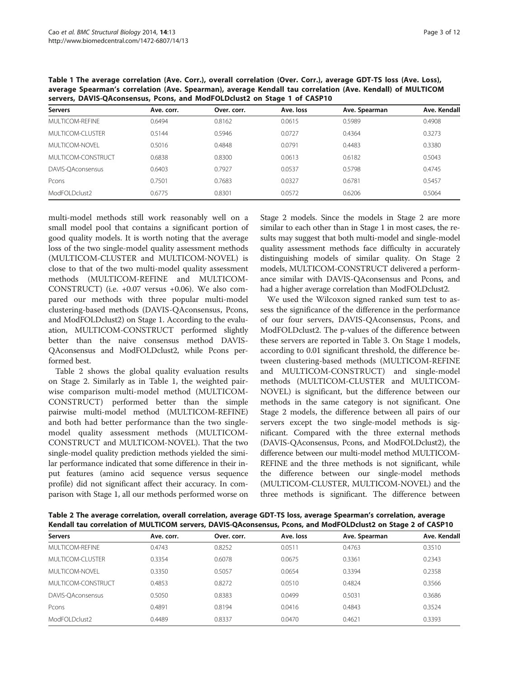| SEIVEIS, DAVIS-QACONSENSUS, FCONS, ANU MOUFOLDCIUSLZ ON STAYE I OF CASF IV |            |             |           |               |              |  |  |
|----------------------------------------------------------------------------|------------|-------------|-----------|---------------|--------------|--|--|
| <b>Servers</b>                                                             | Ave. corr. | Over, corr. | Ave. loss | Ave. Spearman | Ave. Kendall |  |  |
| <b>MULTICOM-REFINE</b>                                                     | 0.6494     | 0.8162      | 0.0615    | 0.5989        | 0.4908       |  |  |
| MUI TICOM-CI USTER                                                         | 0.5144     | 0.5946      | 0.0727    | 0.4364        | 0.3273       |  |  |
| <b>MUI TICOM-NOVEL</b>                                                     | 0.5016     | 0.4848      | 0.0791    | 0.4483        | 0.3380       |  |  |
| MULTICOM-CONSTRUCT                                                         | 0.6838     | 0.8300      | 0.0613    | 0.6182        | 0.5043       |  |  |
| DAVIS-OAconsensus                                                          | 0.6403     | 0.7927      | 0.0537    | 0.5798        | 0.4745       |  |  |
| Pcons                                                                      | 0.7501     | 0.7683      | 0.0327    | 0.6781        | 0.5457       |  |  |
| ModFOLDclust2                                                              | 0.6775     | 0.8301      | 0.0572    | 0.6206        | 0.5064       |  |  |

<span id="page-2-0"></span>Table 1 The average correlation (Ave. Corr.), overall correlation (Over. Corr.), average GDT-TS loss (Ave. Loss), average Spearman's correlation (Ave. Spearman), average Kendall tau correlation (Ave. Kendall) of MULTICOM servers, DAVIS-QAconsensus, Pcons, and ModFOLDclust2 on Stage 1 of CASP10

multi-model methods still work reasonably well on a small model pool that contains a significant portion of good quality models. It is worth noting that the average loss of the two single-model quality assessment methods (MULTICOM-CLUSTER and MULTICOM-NOVEL) is close to that of the two multi-model quality assessment methods (MULTICOM-REFINE and MULTICOM-CONSTRUCT) (i.e. +0.07 versus +0.06). We also compared our methods with three popular multi-model clustering-based methods (DAVIS-QAconsensus, Pcons, and ModFOLDclust2) on Stage 1. According to the evaluation, MULTICOM-CONSTRUCT performed slightly better than the naive consensus method DAVIS-QAconsensus and ModFOLDclust2, while Pcons performed best.

Table 2 shows the global quality evaluation results on Stage 2. Similarly as in Table 1, the weighted pairwise comparison multi-model method (MULTICOM-CONSTRUCT) performed better than the simple pairwise multi-model method (MULTICOM-REFINE) and both had better performance than the two singlemodel quality assessment methods (MULTICOM-CONSTRUCT and MULTICOM-NOVEL). That the two single-model quality prediction methods yielded the similar performance indicated that some difference in their input features (amino acid sequence versus sequence profile) did not significant affect their accuracy. In comparison with Stage 1, all our methods performed worse on Stage 2 models. Since the models in Stage 2 are more similar to each other than in Stage 1 in most cases, the results may suggest that both multi-model and single-model quality assessment methods face difficulty in accurately distinguishing models of similar quality. On Stage 2 models, MULTICOM-CONSTRUCT delivered a performance similar with DAVIS-QAconsensus and Pcons, and had a higher average correlation than ModFOLDclust2.

We used the Wilcoxon signed ranked sum test to assess the significance of the difference in the performance of our four servers, DAVIS-QAconsensus, Pcons, and ModFOLDclust2. The p-values of the difference between these servers are reported in Table [3.](#page-3-0) On Stage 1 models, according to 0.01 significant threshold, the difference between clustering-based methods (MULTICOM-REFINE and MULTICOM-CONSTRUCT) and single-model methods (MULTICOM-CLUSTER and MULTICOM-NOVEL) is significant, but the difference between our methods in the same category is not significant. One Stage 2 models, the difference between all pairs of our servers except the two single-model methods is significant. Compared with the three external methods (DAVIS-QAconsensus, Pcons, and ModFOLDclust2), the difference between our multi-model method MULTICOM-REFINE and the three methods is not significant, while the difference between our single-model methods (MULTICOM-CLUSTER, MULTICOM-NOVEL) and the three methods is significant. The difference between

Table 2 The average correlation, overall correlation, average GDT-TS loss, average Spearman's correlation, average Kendall tau correlation of MULTICOM servers, DAVIS-QAconsensus, Pcons, and ModFOLDclust2 on Stage 2 of CASP10

| <b>Servers</b>      | Ave. corr. | Over, corr. | Ave. loss | Ave. Spearman | Ave. Kendall |
|---------------------|------------|-------------|-----------|---------------|--------------|
| MUI TICOM-REFINE    | 0.4743     | 0.8252      | 0.0511    | 0.4763        | 0.3510       |
| MUI TICOM-CI USTER  | 0.3354     | 0.6078      | 0.0675    | 0.3361        | 0.2343       |
| MUI TICOM-NOVFI     | 0.3350     | 0.5057      | 0.0654    | 0.3394        | 0.2358       |
| MUI TICOM-CONSTRUCT | 0.4853     | 0.8272      | 0.0510    | 0.4824        | 0.3566       |
| DAVIS-OAconsensus   | 0.5050     | 0.8383      | 0.0499    | 0.5031        | 0.3686       |
| Pcons               | 0.4891     | 0.8194      | 0.0416    | 0.4843        | 0.3524       |
| ModFOLDclust2       | 0.4489     | 0.8337      | 0.0470    | 0.4621        | 0.3393       |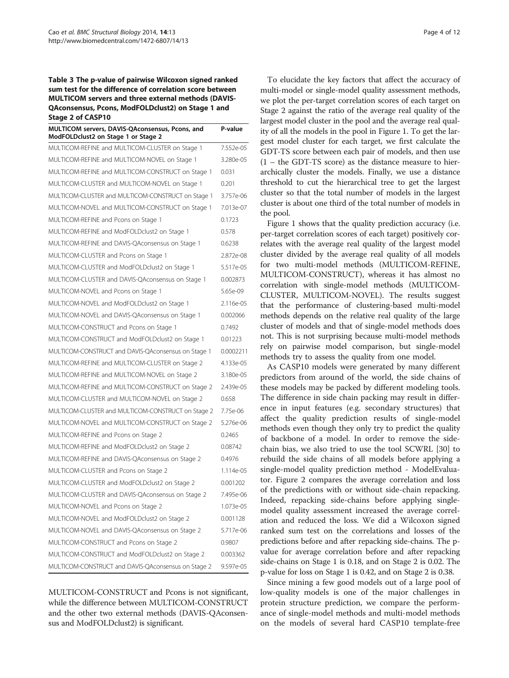<span id="page-3-0"></span>Table 3 The p-value of pairwise Wilcoxon signed ranked sum test for the difference of correlation score between MULTICOM servers and three external methods (DAVIS-QAconsensus, Pcons, ModFOLDclust2) on Stage 1 and Stage 2 of CASP10

| MULTICOM servers, DAVIS-QAconsensus, Pcons, and<br>ModFOLDclust2 on Stage 1 or Stage 2 | P-value   |
|----------------------------------------------------------------------------------------|-----------|
| MULTICOM-REFINE and MULTICOM-CLUSTER on Stage 1                                        | 7.552e-05 |
| MULTICOM-REFINE and MULTICOM-NOVEL on Stage 1                                          | 3.280e-05 |
| MULTICOM-REFINE and MULTICOM-CONSTRUCT on Stage 1                                      | 0.031     |
| MULTICOM-CLUSTER and MULTICOM-NOVEL on Stage 1                                         | 0.201     |
| MULTICOM-CLUSTER and MULTICOM-CONSTRUCT on Stage 1                                     | 3.757e-06 |
| MULTICOM-NOVEL and MULTICOM-CONSTRUCT on Stage 1                                       | 7.013e-07 |
| MULTICOM-REFINE and Pcons on Stage 1                                                   | 0.1723    |
| MULTICOM-REFINE and ModFOLDclust2 on Stage 1                                           | 0.578     |
| MULTICOM-REFINE and DAVIS-QAconsensus on Stage 1                                       | 0.6238    |
| MULTICOM-CLUSTER and Pcons on Stage 1                                                  | 2.872e-08 |
| MULTICOM-CLUSTER and ModFOLDclust2 on Stage 1                                          | 5.517e-05 |
| MULTICOM-CLUSTER and DAVIS-QAconsensus on Stage 1                                      | 0.002873  |
| MULTICOM-NOVEL and Pcons on Stage 1                                                    | 5.65e-09  |
| MULTICOM-NOVEL and ModFOLDclust2 on Stage 1                                            | 2.116e-05 |
| MULTICOM-NOVEL and DAVIS-QAconsensus on Stage 1                                        | 0.002066  |
| MULTICOM-CONSTRUCT and Pcons on Stage 1                                                | 0.7492    |
| MULTICOM-CONSTRUCT and ModFOLDclust2 on Stage 1                                        | 0.01223   |
| MULTICOM-CONSTRUCT and DAVIS-QAconsensus on Stage 1                                    | 0.0002211 |
| MULTICOM-REFINE and MULTICOM-CLUSTER on Stage 2                                        | 4.133e-05 |
| MULTICOM-REFINE and MULTICOM-NOVEL on Stage 2                                          | 3.180e-05 |
| MULTICOM-REFINE and MULTICOM-CONSTRUCT on Stage 2                                      | 2.439e-05 |
| MULTICOM-CLUSTER and MULTICOM-NOVEL on Stage 2                                         | 0.658     |
| MULTICOM-CLUSTER and MULTICOM-CONSTRUCT on Stage 2                                     | 7.75e-06  |
| MULTICOM-NOVEL and MULTICOM-CONSTRUCT on Stage 2                                       | 5.276e-06 |
| MULTICOM-REFINE and Pcons on Stage 2                                                   | 0.2465    |
| MULTICOM-REFINE and ModFOLDclust2 on Stage 2                                           | 0.08742   |
| MULTICOM-REFINE and DAVIS-QAconsensus on Stage 2                                       | 0.4976    |
| MULTICOM-CLUSTER and Pcons on Stage 2                                                  | 1.114e-05 |
| MULTICOM-CLUSTER and ModFOLDclust2 on Stage 2                                          | 0.001202  |
| MULTICOM-CLUSTER and DAVIS-QAconsensus on Stage 2                                      | 7.495e-06 |
| MULTICOM-NOVEL and Pcons on Stage 2                                                    | 1.073e-05 |
| MULTICOM-NOVEL and ModFOLDclust2 on Stage 2                                            | 0.001128  |
| MULTICOM-NOVEL and DAVIS-QAconsensus on Stage 2                                        | 5.717e-06 |
| MULTICOM-CONSTRUCT and Pcons on Stage 2                                                | 0.9807    |
| MULTICOM-CONSTRUCT and ModFOLDclust2 on Stage 2                                        | 0.003362  |
| MULTICOM-CONSTRUCT and DAVIS-QAconsensus on Stage 2                                    | 9.597e-05 |

MULTICOM-CONSTRUCT and Pcons is not significant, while the difference between MULTICOM-CONSTRUCT and the other two external methods (DAVIS-QAconsensus and ModFOLDclust2) is significant.

To elucidate the key factors that affect the accuracy of multi-model or single-model quality assessment methods, we plot the per-target correlation scores of each target on Stage 2 against the ratio of the average real quality of the largest model cluster in the pool and the average real quality of all the models in the pool in Figure [1.](#page-4-0) To get the largest model cluster for each target, we first calculate the GDT-TS score between each pair of models, and then use (1 – the GDT-TS score) as the distance measure to hierarchically cluster the models. Finally, we use a distance threshold to cut the hierarchical tree to get the largest cluster so that the total number of models in the largest cluster is about one third of the total number of models in the pool.

Figure [1](#page-4-0) shows that the quality prediction accuracy (i.e. per-target correlation scores of each target) positively correlates with the average real quality of the largest model cluster divided by the average real quality of all models for two multi-model methods (MULTICOM-REFINE, MULTICOM-CONSTRUCT), whereas it has almost no correlation with single-model methods (MULTICOM-CLUSTER, MULTICOM-NOVEL). The results suggest that the performance of clustering-based multi-model methods depends on the relative real quality of the large cluster of models and that of single-model methods does not. This is not surprising because multi-model methods rely on pairwise model comparison, but single-model methods try to assess the quality from one model.

As CASP10 models were generated by many different predictors from around of the world, the side chains of these models may be packed by different modeling tools. The difference in side chain packing may result in difference in input features (e.g. secondary structures) that affect the quality prediction results of single-model methods even though they only try to predict the quality of backbone of a model. In order to remove the sidechain bias, we also tried to use the tool SCWRL [[30\]](#page-11-0) to rebuild the side chains of all models before applying a single-model quality prediction method - ModelEvaluator. Figure [2](#page-5-0) compares the average correlation and loss of the predictions with or without side-chain repacking. Indeed, repacking side-chains before applying singlemodel quality assessment increased the average correlation and reduced the loss. We did a Wilcoxon signed ranked sum test on the correlations and losses of the predictions before and after repacking side-chains. The pvalue for average correlation before and after repacking side-chains on Stage 1 is 0.18, and on Stage 2 is 0.02. The p-value for loss on Stage 1 is 0.42, and on Stage 2 is 0.38.

Since mining a few good models out of a large pool of low-quality models is one of the major challenges in protein structure prediction, we compare the performance of single-model methods and multi-model methods on the models of several hard CASP10 template-free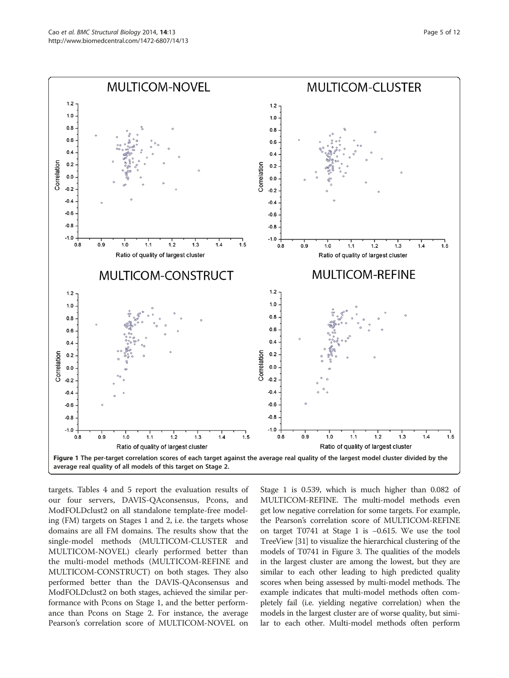<span id="page-4-0"></span>

targets. Tables [4](#page-5-0) and [5](#page-6-0) report the evaluation results of our four servers, DAVIS-QAconsensus, Pcons, and ModFOLDclust2 on all standalone template-free modeling (FM) targets on Stages 1 and 2, i.e. the targets whose domains are all FM domains. The results show that the single-model methods (MULTICOM-CLUSTER and MULTICOM-NOVEL) clearly performed better than the multi-model methods (MULTICOM-REFINE and MULTICOM-CONSTRUCT) on both stages. They also performed better than the DAVIS-QAconsensus and ModFOLDclust2 on both stages, achieved the similar performance with Pcons on Stage 1, and the better performance than Pcons on Stage 2. For instance, the average Pearson's correlation score of MULTICOM-NOVEL on

Stage 1 is 0.539, which is much higher than 0.082 of MULTICOM-REFINE. The multi-model methods even get low negative correlation for some targets. For example, the Pearson's correlation score of MULTICOM-REFINE on target T0741 at Stage 1 is −0.615. We use the tool TreeView [\[31](#page-11-0)] to visualize the hierarchical clustering of the models of T0741 in Figure [3.](#page-6-0) The qualities of the models in the largest cluster are among the lowest, but they are similar to each other leading to high predicted quality scores when being assessed by multi-model methods. The example indicates that multi-model methods often completely fail (i.e. yielding negative correlation) when the models in the largest cluster are of worse quality, but similar to each other. Multi-model methods often perform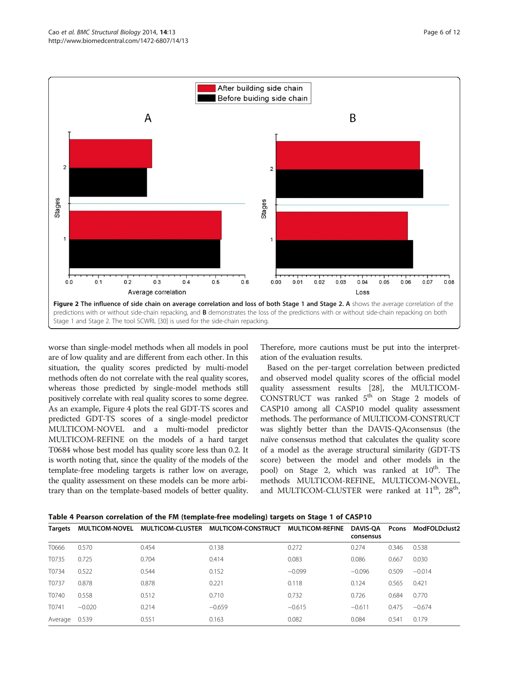<span id="page-5-0"></span>

worse than single-model methods when all models in pool are of low quality and are different from each other. In this situation, the quality scores predicted by multi-model methods often do not correlate with the real quality scores, whereas those predicted by single-model methods still positively correlate with real quality scores to some degree. As an example, Figure [4](#page-7-0) plots the real GDT-TS scores and predicted GDT-TS scores of a single-model predictor MULTICOM-NOVEL and a multi-model predictor MULTICOM-REFINE on the models of a hard target T0684 whose best model has quality score less than 0.2. It is worth noting that, since the quality of the models of the template-free modeling targets is rather low on average, the quality assessment on these models can be more arbitrary than on the template-based models of better quality. Therefore, more cautions must be put into the interpretation of the evaluation results.

Based on the per-target correlation between predicted and observed model quality scores of the official model quality assessment results [[28\]](#page-11-0), the MULTICOM-CONSTRUCT was ranked  $5<sup>th</sup>$  on Stage 2 models of CASP10 among all CASP10 model quality assessment methods. The performance of MULTICOM-CONSTRUCT was slightly better than the DAVIS-QAconsensus (the naïve consensus method that calculates the quality score of a model as the average structural similarity (GDT-TS score) between the model and other models in the pool) on Stage 2, which was ranked at  $10^{th}$ . The methods MULTICOM-REFINE, MULTICOM-NOVEL, and MULTICOM-CLUSTER were ranked at  $11<sup>th</sup>$ ,  $28<sup>th</sup>$ ,

| Table 4 Pearson correlation of the FM (template-free modeling) targets on Stage 1 of CASP10 |  |
|---------------------------------------------------------------------------------------------|--|
|---------------------------------------------------------------------------------------------|--|

| <b>Targets</b> | <b>MULTICOM-NOVEL</b> |       | MULTICOM-CLUSTER MULTICOM-CONSTRUCT | <b>MULTICOM-REFINE</b> | <b>DAVIS-OA</b><br>consensus | Pcons | ModFOLDclust2 |
|----------------|-----------------------|-------|-------------------------------------|------------------------|------------------------------|-------|---------------|
| T0666          | 0.570                 | 0.454 | 0.138                               | 0.272                  | 0.274                        | 0.346 | 0.538         |
| T0735          | 0.725                 | 0.704 | 0.414                               | 0.083                  | 0.086                        | 0.667 | 0.030         |
| T0734          | 0.522                 | 0.544 | 0.152                               | $-0.099$               | $-0.096$                     | 0.509 | $-0.014$      |
| T0737          | 0.878                 | 0.878 | 0.221                               | 0.118                  | 0.124                        | 0.565 | 0.421         |
| T0740          | 0.558                 | 0.512 | 0.710                               | 0.732                  | 0.726                        | 0.684 | 0.770         |
| T0741          | $-0.020$              | 0.214 | $-0.659$                            | $-0.615$               | $-0.611$                     | 0.475 | $-0.674$      |
| Average        | 0.539                 | 0.551 | 0.163                               | 0.082                  | 0.084                        | 0.541 | 0.179         |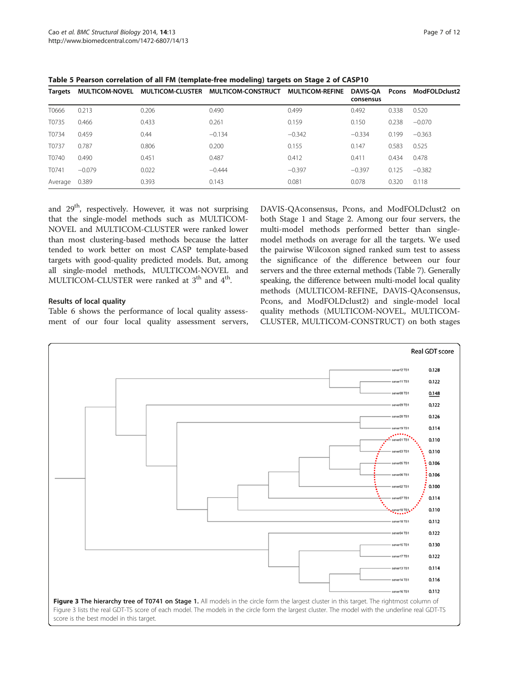| Targets | <b>MULTICOM-NOVEL</b> | <b>MULTICOM-CLUSTER</b> | <b>MULTICOM-CONSTRUCT</b> | <b>MULTICOM-REFINE</b> | <b>DAVIS-OA</b><br>consensus | Pcons | ModFOLDclust2 |
|---------|-----------------------|-------------------------|---------------------------|------------------------|------------------------------|-------|---------------|
| T0666   | 0.213                 | 0.206                   | 0.490                     | 0.499                  | 0.492                        | 0.338 | 0.520         |
| T0735   | 0.466                 | 0.433                   | 0.261                     | 0.159                  | 0.150                        | 0.238 | $-0.070$      |
| T0734   | 0.459                 | 0.44                    | $-0.134$                  | $-0.342$               | $-0.334$                     | 0.199 | $-0.363$      |
| T0737   | 0.787                 | 0.806                   | 0.200                     | 0.155                  | 0.147                        | 0.583 | 0.525         |
| T0740   | 0.490                 | 0.451                   | 0.487                     | 0.412                  | 0.411                        | 0.434 | 0.478         |
| T0741   | $-0.079$              | 0.022                   | $-0.444$                  | $-0.397$               | $-0.397$                     | 0.125 | $-0.382$      |
| Average | 0.389                 | 0.393                   | 0.143                     | 0.081                  | 0.078                        | 0.320 | 0.118         |

<span id="page-6-0"></span>Table 5 Pearson correlation of all FM (template-free modeling) targets on Stage 2 of CASP10

and 29<sup>th</sup>, respectively. However, it was not surprising that the single-model methods such as MULTICOM-NOVEL and MULTICOM-CLUSTER were ranked lower than most clustering-based methods because the latter tended to work better on most CASP template-based targets with good-quality predicted models. But, among all single-model methods, MULTICOM-NOVEL and MULTICOM-CLUSTER were ranked at  $3<sup>th</sup>$  and  $4<sup>th</sup>$ .

## Results of local quality

Table [6](#page-7-0) shows the performance of local quality assessment of our four local quality assessment servers, DAVIS-QAconsensus, Pcons, and ModFOLDclust2 on both Stage 1 and Stage 2. Among our four servers, the multi-model methods performed better than singlemodel methods on average for all the targets. We used the pairwise Wilcoxon signed ranked sum test to assess the significance of the difference between our four servers and the three external methods (Table [7](#page-8-0)). Generally speaking, the difference between multi-model local quality methods (MULTICOM-REFINE, DAVIS-QAconsensus, Pcons, and ModFOLDclust2) and single-model local quality methods (MULTICOM-NOVEL, MULTICOM-CLUSTER, MULTICOM-CONSTRUCT) on both stages

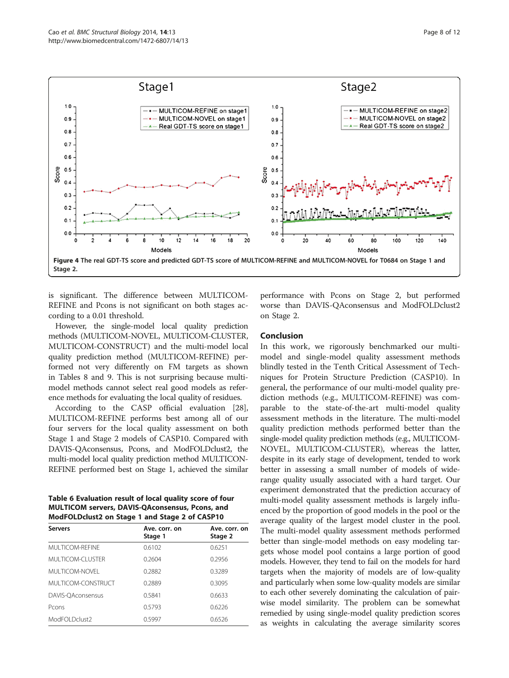<span id="page-7-0"></span>

is significant. The difference between MULTICOM-REFINE and Pcons is not significant on both stages according to a 0.01 threshold.

However, the single-model local quality prediction methods (MULTICOM-NOVEL, MULTICOM-CLUSTER, MULTICOM-CONSTRUCT) and the multi-model local quality prediction method (MULTICOM-REFINE) performed not very differently on FM targets as shown in Tables [8](#page-9-0) and [9.](#page-9-0) This is not surprising because multimodel methods cannot select real good models as reference methods for evaluating the local quality of residues.

According to the CASP official evaluation [\[28](#page-11-0)], MULTICOM-REFINE performs best among all of our four servers for the local quality assessment on both Stage 1 and Stage 2 models of CASP10. Compared with DAVIS-QAconsensus, Pcons, and ModFOLDclust2, the multi-model local quality prediction method MULTICON-REFINE performed best on Stage 1, achieved the similar

Table 6 Evaluation result of local quality score of four MULTICOM servers, DAVIS-QAconsensus, Pcons, and ModEOLDclust2 on Stage 1 and Stage 2 of CASP10

| <b>Servers</b>      | Ave. corr. on<br>Stage 1 | Ave. corr. on<br>Stage 2 |  |  |  |  |
|---------------------|--------------------------|--------------------------|--|--|--|--|
| MUI TICOM-REFINE    | 0.6102                   | 0.6251                   |  |  |  |  |
| MUI TICOM-CI USTER  | 0.2604                   | 0.2956                   |  |  |  |  |
| MUI TICOM-NOVEL     | 0.2882                   | 0.3289                   |  |  |  |  |
| MUI TICOM-CONSTRUCT | 0.2889                   | 0.3095                   |  |  |  |  |
| DAVIS-OAconsensus   | 0.5841                   | 0.6633                   |  |  |  |  |
| Prons               | 0.5793                   | 0.6226                   |  |  |  |  |
| ModFOI Delust2      | 0.5997                   | 0.6526                   |  |  |  |  |

performance with Pcons on Stage 2, but performed worse than DAVIS-QAconsensus and ModFOLDclust2 on Stage 2.

#### Conclusion

In this work, we rigorously benchmarked our multimodel and single-model quality assessment methods blindly tested in the Tenth Critical Assessment of Techniques for Protein Structure Prediction (CASP10). In general, the performance of our multi-model quality prediction methods (e.g., MULTICOM-REFINE) was comparable to the state-of-the-art multi-model quality assessment methods in the literature. The multi-model quality prediction methods performed better than the single-model quality prediction methods (e.g., MULTICOM-NOVEL, MULTICOM-CLUSTER), whereas the latter, despite in its early stage of development, tended to work better in assessing a small number of models of widerange quality usually associated with a hard target. Our experiment demonstrated that the prediction accuracy of multi-model quality assessment methods is largely influenced by the proportion of good models in the pool or the average quality of the largest model cluster in the pool. The multi-model quality assessment methods performed better than single-model methods on easy modeling targets whose model pool contains a large portion of good models. However, they tend to fail on the models for hard targets when the majority of models are of low-quality and particularly when some low-quality models are similar to each other severely dominating the calculation of pairwise model similarity. The problem can be somewhat remedied by using single-model quality prediction scores as weights in calculating the average similarity scores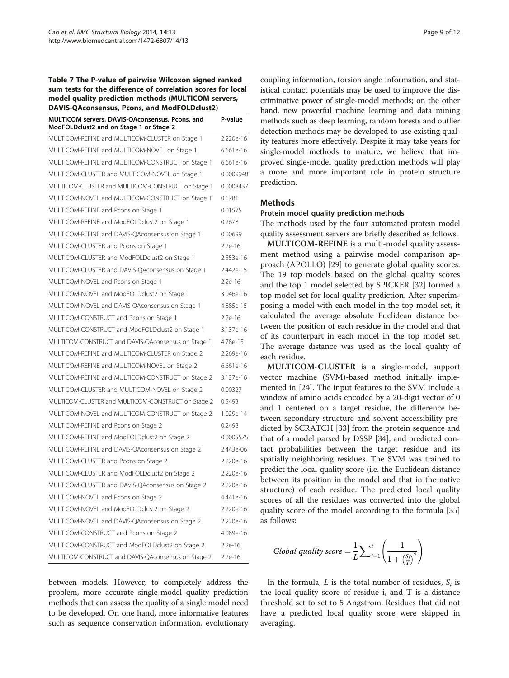<span id="page-8-0"></span>Table 7 The P-value of pairwise Wilcoxon signed ranked sum tests for the difference of correlation scores for local model quality prediction methods (MULTICOM servers, DAVIS-QAconsensus, Pcons, and ModFOLDclust2)

| MULTICOM servers, DAVIS-QAconsensus, Pcons, and<br>ModFOLDclust2 and on Stage 1 or Stage 2 | P-value   |
|--------------------------------------------------------------------------------------------|-----------|
| MULTICOM-REFINE and MULTICOM-CLUSTER on Stage 1                                            | 2.220e-16 |
| MULTICOM-REFINE and MULTICOM-NOVEL on Stage 1                                              | 6.661e-16 |
| MULTICOM-REFINE and MULTICOM-CONSTRUCT on Stage 1                                          | 6.661e-16 |
| MULTICOM-CLUSTER and MULTICOM-NOVEL on Stage 1                                             | 0.0009948 |
| MULTICOM-CLUSTER and MULTICOM-CONSTRUCT on Stage 1                                         | 0.0008437 |
| MULTICOM-NOVEL and MULTICOM-CONSTRUCT on Stage 1                                           | 0.1781    |
| MULTICOM-REFINE and Pcons on Stage 1                                                       | 0.01575   |
| MULTICOM-REFINE and ModFOLDclust2 on Stage 1                                               | 0.2678    |
| MULTICOM-REFINE and DAVIS-QAconsensus on Stage 1                                           | 0.00699   |
| MULTICOM-CLUSTER and Pcons on Stage 1                                                      | 2.2e-16   |
| MULTICOM-CLUSTER and ModFOLDclust2 on Stage 1                                              | 2.553e-16 |
| MULTICOM-CLUSTER and DAVIS-QAconsensus on Stage 1                                          | 2.442e-15 |
| MULTICOM-NOVEL and Pcons on Stage 1                                                        | $2.2e-16$ |
| MULTICOM-NOVEL and ModFOLDclust2 on Stage 1                                                | 3.046e-16 |
| MULTICOM-NOVEL and DAVIS-QAconsensus on Stage 1                                            | 4.885e-15 |
| MULTICOM-CONSTRUCT and Pcons on Stage 1                                                    | $2.2e-16$ |
| MULTICOM-CONSTRUCT and ModFOLDclust2 on Stage 1                                            | 3.137e-16 |
| MULTICOM-CONSTRUCT and DAVIS-QAconsensus on Stage 1                                        | 4.78e-15  |
| MULTICOM-REFINE and MULTICOM-CLUSTER on Stage 2                                            | 2.269e-16 |
| MULTICOM-REFINE and MULTICOM-NOVEL on Stage 2                                              | 6.661e-16 |
| MULTICOM-REFINE and MULTICOM-CONSTRUCT on Stage 2                                          | 3.137e-16 |
| MULTICOM-CLUSTER and MULTICOM-NOVEL on Stage 2                                             | 0.00327   |
| MULTICOM-CLUSTER and MULTICOM-CONSTRUCT on Stage 2                                         | 0.5493    |
| MULTICOM-NOVEL and MULTICOM-CONSTRUCT on Stage 2                                           | 1.029e-14 |
| MULTICOM-REFINE and Pcons on Stage 2                                                       | 0.2498    |
| MULTICOM-REFINE and ModFOLDclust2 on Stage 2                                               | 0.0005575 |
| MULTICOM-REFINE and DAVIS-QAconsensus on Stage 2                                           | 2.443e-06 |
| MULTICOM-CLUSTER and Pcons on Stage 2                                                      | 2.220e-16 |
| MULTICOM-CLUSTER and ModFOLDclust2 on Stage 2                                              | 2.220e-16 |
| MULTICOM-CLUSTER and DAVIS-QAconsensus on Stage 2                                          | 2.220e-16 |
| MULTICOM-NOVEL and Pcons on Stage 2                                                        | 4.441e-16 |
| MULTICOM-NOVEL and ModFOLDclust2 on Stage 2                                                | 2.220e-16 |
| MULTICOM-NOVEL and DAVIS-QAconsensus on Stage 2                                            | 2.220e-16 |
| MULTICOM-CONSTRUCT and Pcons on Stage 2                                                    | 4.089e-16 |
| MULTICOM-CONSTRUCT and ModFOLDclust2 on Stage 2                                            | $2.2e-16$ |
| MULTICOM-CONSTRUCT and DAVIS-QAconsensus on Stage 2                                        | $2.2e-16$ |

between models. However, to completely address the problem, more accurate single-model quality prediction methods that can assess the quality of a single model need to be developed. On one hand, more informative features such as sequence conservation information, evolutionary

coupling information, torsion angle information, and statistical contact potentials may be used to improve the discriminative power of single-model methods; on the other hand, new powerful machine learning and data mining methods such as deep learning, random forests and outlier detection methods may be developed to use existing quality features more effectively. Despite it may take years for single-model methods to mature, we believe that improved single-model quality prediction methods will play a more and more important role in protein structure prediction.

## **Methods**

## Protein model quality prediction methods

The methods used by the four automated protein model quality assessment servers are briefly described as follows.

MULTICOM-REFINE is a multi-model quality assessment method using a pairwise model comparison approach (APOLLO) [[29](#page-11-0)] to generate global quality scores. The 19 top models based on the global quality scores and the top 1 model selected by SPICKER [\[32](#page-11-0)] formed a top model set for local quality prediction. After superimposing a model with each model in the top model set, it calculated the average absolute Euclidean distance between the position of each residue in the model and that of its counterpart in each model in the top model set. The average distance was used as the local quality of each residue.

MULTICOM-CLUSTER is a single-model, support vector machine (SVM)-based method initially implemented in [[24\]](#page-11-0). The input features to the SVM include a window of amino acids encoded by a 20-digit vector of 0 and 1 centered on a target residue, the difference between secondary structure and solvent accessibility predicted by SCRATCH [\[33](#page-11-0)] from the protein sequence and that of a model parsed by DSSP [\[34](#page-11-0)], and predicted contact probabilities between the target residue and its spatially neighboring residues. The SVM was trained to predict the local quality score (i.e. the Euclidean distance between its position in the model and that in the native structure) of each residue. The predicted local quality scores of all the residues was converted into the global quality score of the model according to the formula [[35](#page-11-0)] as follows:

Global quality score 
$$
=
$$
  $\frac{1}{L} \sum_{i=1}^{t} \left( \frac{1}{1 + \left( \frac{S_i}{T} \right)^2} \right)$ 

In the formula, L is the total number of residues,  $S_i$  is the local quality score of residue i, and T is a distance threshold set to set to 5 Angstrom. Residues that did not have a predicted local quality score were skipped in averaging.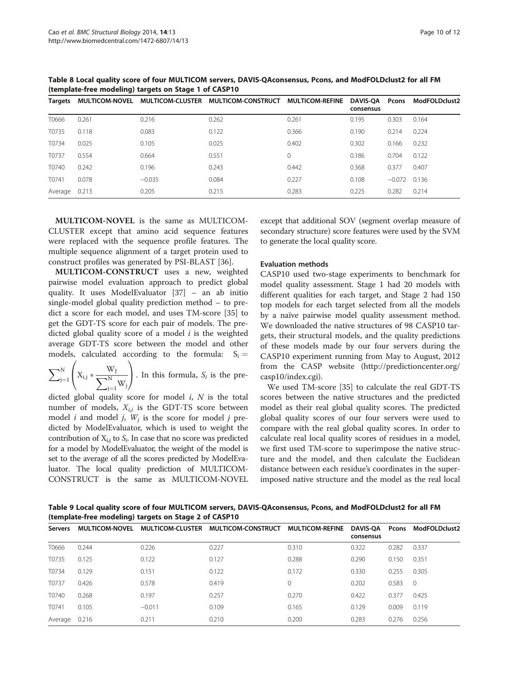| <b>Targets</b> |       |          | MULTICOM-NOVEL MULTICOM-CLUSTER MULTICOM-CONSTRUCT | <b>MULTICOM-REFINE</b> | <b>DAVIS-OA</b><br>consensus | Pcons    | ModFOLDclust2 |
|----------------|-------|----------|----------------------------------------------------|------------------------|------------------------------|----------|---------------|
| T0666          | 0.261 | 0.216    | 0.262                                              | 0.261                  | 0.195                        | 0.303    | 0.164         |
| T0735          | 0.118 | 0.083    | 0.122                                              | 0.366                  | 0.190                        | 0.214    | 0.224         |
| T0734          | 0.025 | 0.105    | 0.025                                              | 0.402                  | 0.302                        | 0.166    | 0.232         |
| T0737          | 0.554 | 0.664    | 0.551                                              | $\Omega$               | 0.186                        | 0.704    | 0.122         |
| T0740          | 0.242 | 0.196    | 0.243                                              | 0.442                  | 0.368                        | 0.377    | 0.407         |
| T0741          | 0.078 | $-0.035$ | 0.084                                              | 0.227                  | 0.108                        | $-0.072$ | 0.136         |
| Average        | 0.213 | 0.205    | 0.215                                              | 0.283                  | 0.225                        | 0.282    | 0.214         |

<span id="page-9-0"></span>Table 8 Local quality score of four MULTICOM servers, DAVIS-QAconsensus, Pcons, and ModFOLDclust2 for all FM (template-free modeling) targets on Stage 1 of CASP10

MULTICOM-NOVEL is the same as MULTICOM-CLUSTER except that amino acid sequence features were replaced with the sequence profile features. The multiple sequence alignment of a target protein used to construct profiles was generated by PSI-BLAST [\[36\]](#page-11-0).

MULTICOM-CONSTRUCT uses a new, weighted pairwise model evaluation approach to predict global quality. It uses ModelEvaluator [[37](#page-11-0)] – an ab initio single-model global quality prediction method – to predict a score for each model, and uses TM-score [\[35](#page-11-0)] to get the GDT-TS score for each pair of models. The predicted global quality score of a model  $i$  is the weighted average GDT-TS score between the model and other models, calculated according to the formula:  $S_i =$ 

 $\sum\nolimits_{\rm{j=1}}^{\rm{N}}\bigg\{ \, {\rm{X}}_{\rm{i,j}} * \frac{1}{\displaystyle\sum\nolimits_{\rm{j=1}}^{\rm{N}}}$  $W_J$ N  $\sum_{j=1}^N W_j$  $\sqrt{2}$  $\overline{1}$  $\setminus$ . In this formula,  $S_i$  is the pre-

dicted global quality score for model  $i$ ,  $N$  is the total number of models,  $X_{i,j}$  is the GDT-TS score between model *i* and model *j*,  $W_j$  is the score for model *j* predicted by ModelEvaluator, which is used to weight the contribution of  $X_{i,j}$  to  $S_i$ . In case that no score was predicted for a model by ModelEvaluator, the weight of the model is set to the average of all the scores predicted by ModelEvaluator. The local quality prediction of MULTICOM-CONSTRUCT is the same as MULTICOM-NOVEL except that additional SOV (segment overlap measure of secondary structure) score features were used by the SVM to generate the local quality score.

## Evaluation methods

CASP10 used two-stage experiments to benchmark for model quality assessment. Stage 1 had 20 models with different qualities for each target, and Stage 2 had 150 top models for each target selected from all the models by a naïve pairwise model quality assessment method. We downloaded the native structures of 98 CASP10 targets, their structural models, and the quality predictions of these models made by our four servers during the CASP10 experiment running from May to August, 2012 from the CASP website ([http://predictioncenter.org/](http://predictioncenter.org/casp10/index.cgi) [casp10/index.cgi](http://predictioncenter.org/casp10/index.cgi)).

We used TM-score [\[35](#page-11-0)] to calculate the real GDT-TS scores between the native structures and the predicted model as their real global quality scores. The predicted global quality scores of our four servers were used to compare with the real global quality scores. In order to calculate real local quality scores of residues in a model, we first used TM-score to superimpose the native structure and the model, and then calculate the Euclidean distance between each residue's coordinates in the superimposed native structure and the model as the real local

Table 9 Local quality score of four MULTICOM servers, DAVIS-QAconsensus, Pcons, and ModFOLDclust2 for all FM (template-free modeling) targets on Stage 2 of CASP10

| <b>Servers</b> | <b>MULTICOM-NOVEL</b> | <b>MULTICOM-CLUSTER</b> | <b>MULTICOM-CONSTRUCT</b> | <b>MULTICOM-REFINE</b> | <b>DAVIS-OA</b><br>consensus | Pcons | ModFOLDclust2 |
|----------------|-----------------------|-------------------------|---------------------------|------------------------|------------------------------|-------|---------------|
| T0666          | 0.244                 | 0.226                   | 0.227                     | 0.310                  | 0.322                        | 0.282 | 0.337         |
| T0735          | 0.125                 | 0.122                   | 0.127                     | 0.288                  | 0.290                        | 0.150 | 0.351         |
| T0734          | 0.129                 | 0.151                   | 0.122                     | 0.172                  | 0.330                        | 0.255 | 0.305         |
| T0737          | 0.426                 | 0.578                   | 0.419                     | $\mathbf{0}$           | 0.202                        | 0.583 | $\Omega$      |
| T0740          | 0.268                 | 0.197                   | 0.257                     | 0.270                  | 0.422                        | 0.377 | 0.425         |
| T0741          | 0.105                 | $-0.011$                | 0.109                     | 0.165                  | 0.129                        | 0.009 | 0.119         |
| Average        | 0.216                 | 0.211                   | 0.210                     | 0.200                  | 0.283                        | 0.276 | 0.256         |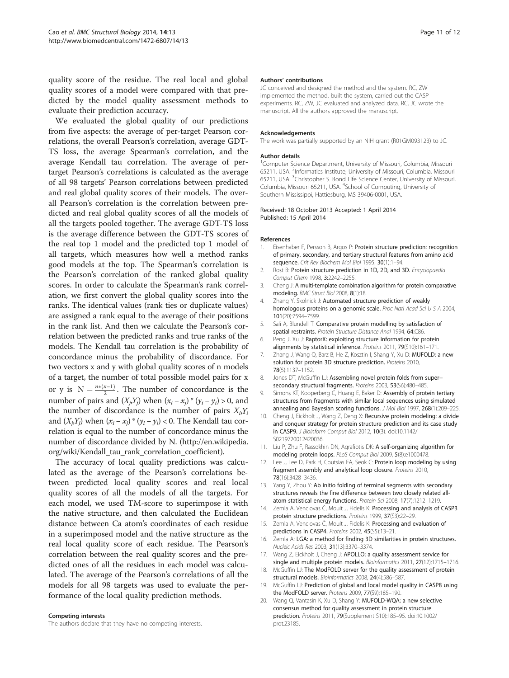<span id="page-10-0"></span>quality score of the residue. The real local and global quality scores of a model were compared with that predicted by the model quality assessment methods to evaluate their prediction accuracy.

We evaluated the global quality of our predictions from five aspects: the average of per-target Pearson correlations, the overall Pearson's correlation, average GDT-TS loss, the average Spearman's correlation, and the average Kendall tau correlation. The average of pertarget Pearson's correlations is calculated as the average of all 98 targets' Pearson correlations between predicted and real global quality scores of their models. The overall Pearson's correlation is the correlation between predicted and real global quality scores of all the models of all the targets pooled together. The average GDT-TS loss is the average difference between the GDT-TS scores of the real top 1 model and the predicted top 1 model of all targets, which measures how well a method ranks good models at the top. The Spearman's correlation is the Pearson's correlation of the ranked global quality scores. In order to calculate the Spearman's rank correlation, we first convert the global quality scores into the ranks. The identical values (rank ties or duplicate values) are assigned a rank equal to the average of their positions in the rank list. And then we calculate the Pearson's correlation between the predicted ranks and true ranks of the models. The Kendall tau correlation is the probability of concordance minus the probability of discordance. For two vectors x and y with global quality scores of n models of a target, the number of total possible model pairs for x or y is  $N = \frac{n*(n-1)}{2}$ . The number of concordance is the number of pairs and  $(X_i,Y_j)$  when  $(x_i - x_j) * (y_i - y_i) > 0$ , and the number of discordance is the number of pairs  $X_i$ ,  $Y_i$ and  $(X_i,Y_j)$  when  $(x_i - x_j) * (y_i - y_i) < 0$ . The Kendall tau correlation is equal to the number of concordance minus the number of discordance divided by N. [\(http://en.wikipedia.](http://en.wikipedia.org/wiki/Kendall_tau_rank_correlation_coefficient) [org/wiki/Kendall\\_tau\\_rank\\_correlation\\_coefficient\)](http://en.wikipedia.org/wiki/Kendall_tau_rank_correlation_coefficient).

The accuracy of local quality predictions was calculated as the average of the Pearson's correlations between predicted local quality scores and real local quality scores of all the models of all the targets. For each model, we used TM-score to superimpose it with the native structure, and then calculated the Euclidean distance between Ca atom's coordinates of each residue in a superimposed model and the native structure as the real local quality score of each residue. The Pearson's correlation between the real quality scores and the predicted ones of all the residues in each model was calculated. The average of the Pearson's correlations of all the models for all 98 targets was used to evaluate the performance of the local quality prediction methods.

#### Competing interests

The authors declare that they have no competing interests.

#### Authors' contributions

JC conceived and designed the method and the system. RC, ZW implemented the method, built the system, carried out the CASP experiments. RC, ZW, JC evaluated and analyzed data. RC, JC wrote the manuscript. All the authors approved the manuscript.

#### Acknowledgements

The work was partially supported by an NIH grant (R01GM093123) to JC.

#### Author details

<sup>1</sup> Computer Science Department, University of Missouri, Columbia, Missouri 65211, USA. <sup>2</sup>Informatics Institute, University of Missouri, Columbia, Missouri 65211, USA. <sup>3</sup>Christopher S. Bond Life Science Center, University of Missouri, Columbia, Missouri 65211, USA. <sup>4</sup>School of Computing, University of Southern Mississippi, Hattiesburg, MS 39406-0001, USA.

#### Received: 18 October 2013 Accepted: 1 April 2014 Published: 15 April 2014

#### References

- 1. Eisenhaber F, Persson B, Argos P: Protein structure prediction: recognition of primary, secondary, and tertiary structural features from amino acid sequence. Crit Rev Biochem Mol Biol 1995, 30(1):1-94.
- 2. Rost B: Protein structure prediction in 1D, 2D, and 3D. Encyclopaedia Comput Chem 1998, 3:2242–2255.
- 3. Cheng J: A multi-template combination algorithm for protein comparative modeling. BMC Struct Biol 2008, 8(1):18.
- 4. Zhang Y, Skolnick J: Automated structure prediction of weakly homologous proteins on a genomic scale. Proc Natl Acad Sci U S A 2004, 101(20):7594–7599.
- 5. Sali A, Blundell T: Comparative protein modelling by satisfaction of spatial restraints. Protein Structure Distance Anal 1994, 64:C86.
- 6. Peng J, Xu J: RaptorX: exploiting structure information for protein alignments by statistical inference. Proteins 2011, 79(S10):161–171.
- 7. Zhang J, Wang Q, Barz B, He Z, Kosztin I, Shang Y, Xu D: MUFOLD: a new solution for protein 3D structure prediction. Proteins 2010, 78(5):1137–1152.
- 8. Jones DT, McGuffin LJ: Assembling novel protein folds from super− secondary structural fragments. Proteins 2003, 53(S6):480–485.
- 9. Simons KT, Kooperberg C, Huang E, Baker D: Assembly of protein tertiary structures from fragments with similar local sequences using simulated annealing and Bayesian scoring functions. J Mol Biol 1997, 268(1):209-225.
- 10. Cheng J, Eickholt J, Wang Z, Deng X: Recursive protein modeling: a divide and conquer strategy for protein structure prediction and its case study in CASP9. J Bioinform Comput Biol 2012, 10(3). doi:10.1142/ S0219720012420036.
- 11. Liu P, Zhu F, Rassokhin DN, Agrafiotis DK: A self-organizing algorithm for modeling protein loops. PLoS Comput Biol 2009, 5(8):e1000478.
- 12. Lee J, Lee D, Park H, Coutsias EA, Seok C: Protein loop modeling by using fragment assembly and analytical loop closure. Proteins 2010, 78(16):3428–3436.
- 13. Yang Y, Zhou Y: Ab initio folding of terminal segments with secondary structures reveals the fine difference between two closely related allatom statistical energy functions. Protein Sci 2008, 17(7):1212-1219.
- 14. Zemla A, Venclovas Č, Moult J, Fidelis K: Processing and analysis of CASP3 protein structure predictions. Proteins 1999, 37(S3):22–29.
- 15. Zemla A, Venclovas Č, Moult J, Fidelis K: Processing and evaluation of predictions in CASP4. Proteins 2002, 45(S5):13–21.
- 16. Zemla A: LGA: a method for finding 3D similarities in protein structures. Nucleic Acids Res 2003, 31(13):3370–3374.
- 17. Wang Z, Eickholt J, Cheng J: APOLLO: a quality assessment service for single and multiple protein models. Bioinformatics 2011, 27(12):1715-1716.
- 18. McGuffin LJ: The ModFOLD server for the quality assessment of protein structural models. Bioinformatics 2008, 24(4):586–587.
- 19. McGuffin LJ: Prediction of global and local model quality in CASP8 using the ModFOLD server. Proteins 2009, 77(S9):185–190.
- 20. Wang Q, Vantasin K, Xu D, Shang Y: MUFOLD-WQA: a new selective consensus method for quality assessment in protein structure prediction. Proteins 2011, 79(Supplement S10):185–95. doi:10.1002/ prot.23185.